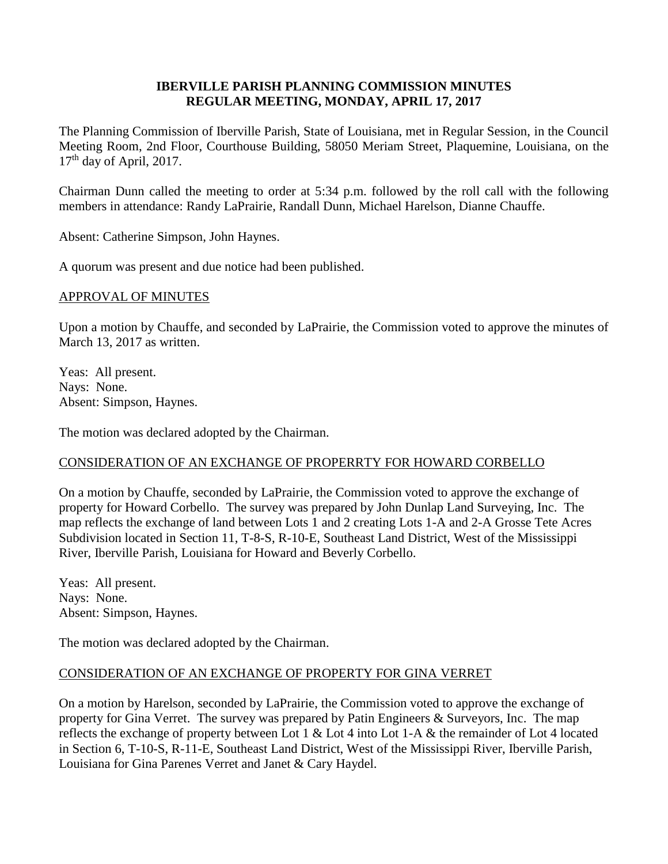## **IBERVILLE PARISH PLANNING COMMISSION MINUTES REGULAR MEETING, MONDAY, APRIL 17, 2017**

The Planning Commission of Iberville Parish, State of Louisiana, met in Regular Session, in the Council Meeting Room, 2nd Floor, Courthouse Building, 58050 Meriam Street, Plaquemine, Louisiana, on the  $17<sup>th</sup>$  day of April, 2017.

Chairman Dunn called the meeting to order at 5:34 p.m. followed by the roll call with the following members in attendance: Randy LaPrairie, Randall Dunn, Michael Harelson, Dianne Chauffe.

Absent: Catherine Simpson, John Haynes.

A quorum was present and due notice had been published.

## APPROVAL OF MINUTES

Upon a motion by Chauffe, and seconded by LaPrairie, the Commission voted to approve the minutes of March 13, 2017 as written.

Yeas: All present. Nays: None. Absent: Simpson, Haynes.

The motion was declared adopted by the Chairman.

# CONSIDERATION OF AN EXCHANGE OF PROPERRTY FOR HOWARD CORBELLO

On a motion by Chauffe, seconded by LaPrairie, the Commission voted to approve the exchange of property for Howard Corbello. The survey was prepared by John Dunlap Land Surveying, Inc. The map reflects the exchange of land between Lots 1 and 2 creating Lots 1-A and 2-A Grosse Tete Acres Subdivision located in Section 11, T-8-S, R-10-E, Southeast Land District, West of the Mississippi River, Iberville Parish, Louisiana for Howard and Beverly Corbello.

Yeas: All present. Nays: None. Absent: Simpson, Haynes.

The motion was declared adopted by the Chairman.

# CONSIDERATION OF AN EXCHANGE OF PROPERTY FOR GINA VERRET

On a motion by Harelson, seconded by LaPrairie, the Commission voted to approve the exchange of property for Gina Verret. The survey was prepared by Patin Engineers & Surveyors, Inc. The map reflects the exchange of property between Lot 1 & Lot 4 into Lot 1-A & the remainder of Lot 4 located in Section 6, T-10-S, R-11-E, Southeast Land District, West of the Mississippi River, Iberville Parish, Louisiana for Gina Parenes Verret and Janet & Cary Haydel.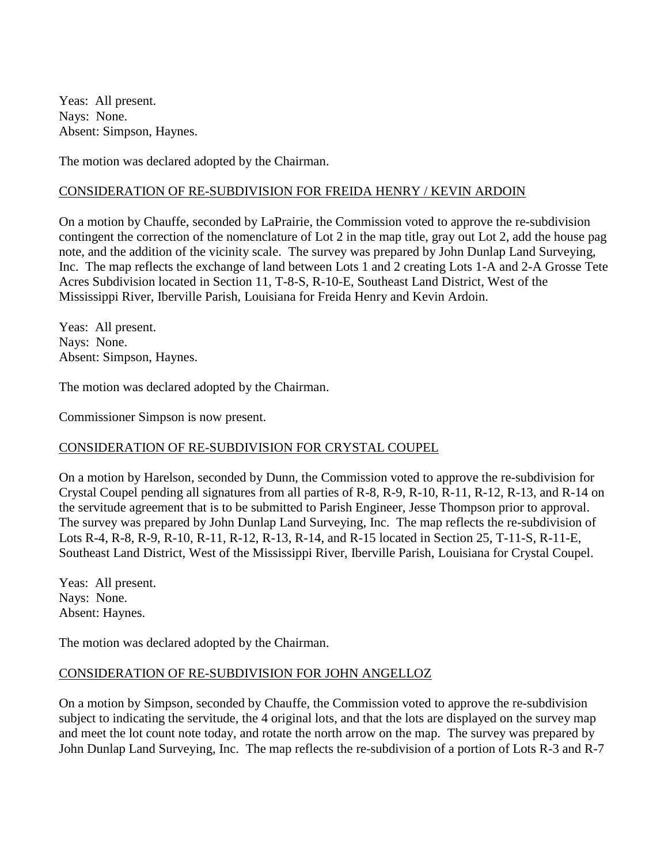Yeas: All present. Nays: None. Absent: Simpson, Haynes.

The motion was declared adopted by the Chairman.

#### CONSIDERATION OF RE-SUBDIVISION FOR FREIDA HENRY / KEVIN ARDOIN

On a motion by Chauffe, seconded by LaPrairie, the Commission voted to approve the re-subdivision contingent the correction of the nomenclature of Lot 2 in the map title, gray out Lot 2, add the house pag note, and the addition of the vicinity scale. The survey was prepared by John Dunlap Land Surveying, Inc. The map reflects the exchange of land between Lots 1 and 2 creating Lots 1-A and 2-A Grosse Tete Acres Subdivision located in Section 11, T-8-S, R-10-E, Southeast Land District, West of the Mississippi River, Iberville Parish, Louisiana for Freida Henry and Kevin Ardoin.

Yeas: All present. Nays: None. Absent: Simpson, Haynes.

The motion was declared adopted by the Chairman.

Commissioner Simpson is now present.

### CONSIDERATION OF RE-SUBDIVISION FOR CRYSTAL COUPEL

On a motion by Harelson, seconded by Dunn, the Commission voted to approve the re-subdivision for Crystal Coupel pending all signatures from all parties of R-8, R-9, R-10, R-11, R-12, R-13, and R-14 on the servitude agreement that is to be submitted to Parish Engineer, Jesse Thompson prior to approval. The survey was prepared by John Dunlap Land Surveying, Inc. The map reflects the re-subdivision of Lots R-4, R-8, R-9, R-10, R-11, R-12, R-13, R-14, and R-15 located in Section 25, T-11-S, R-11-E, Southeast Land District, West of the Mississippi River, Iberville Parish, Louisiana for Crystal Coupel.

Yeas: All present. Nays: None. Absent: Haynes.

The motion was declared adopted by the Chairman.

### CONSIDERATION OF RE-SUBDIVISION FOR JOHN ANGELLOZ

On a motion by Simpson, seconded by Chauffe, the Commission voted to approve the re-subdivision subject to indicating the servitude, the 4 original lots, and that the lots are displayed on the survey map and meet the lot count note today, and rotate the north arrow on the map. The survey was prepared by John Dunlap Land Surveying, Inc. The map reflects the re-subdivision of a portion of Lots R-3 and R-7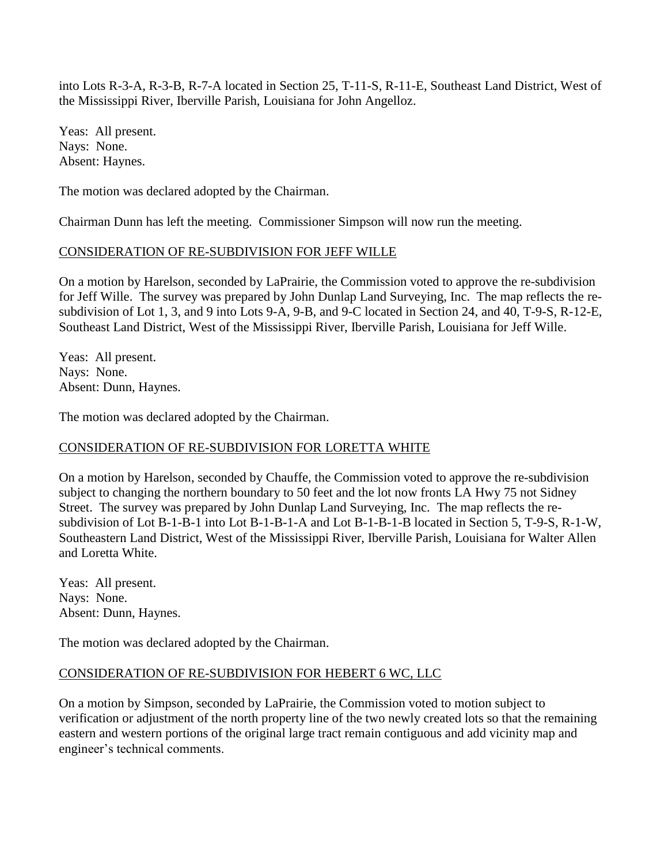into Lots R-3-A, R-3-B, R-7-A located in Section 25, T-11-S, R-11-E, Southeast Land District, West of the Mississippi River, Iberville Parish, Louisiana for John Angelloz.

Yeas: All present. Nays: None. Absent: Haynes.

The motion was declared adopted by the Chairman.

Chairman Dunn has left the meeting. Commissioner Simpson will now run the meeting.

## CONSIDERATION OF RE-SUBDIVISION FOR JEFF WILLE

On a motion by Harelson, seconded by LaPrairie, the Commission voted to approve the re-subdivision for Jeff Wille. The survey was prepared by John Dunlap Land Surveying, Inc. The map reflects the resubdivision of Lot 1, 3, and 9 into Lots 9-A, 9-B, and 9-C located in Section 24, and 40, T-9-S, R-12-E, Southeast Land District, West of the Mississippi River, Iberville Parish, Louisiana for Jeff Wille.

Yeas: All present. Nays: None. Absent: Dunn, Haynes.

The motion was declared adopted by the Chairman.

# CONSIDERATION OF RE-SUBDIVISION FOR LORETTA WHITE

On a motion by Harelson, seconded by Chauffe, the Commission voted to approve the re-subdivision subject to changing the northern boundary to 50 feet and the lot now fronts LA Hwy 75 not Sidney Street. The survey was prepared by John Dunlap Land Surveying, Inc. The map reflects the resubdivision of Lot B-1-B-1 into Lot B-1-B-1-A and Lot B-1-B-1-B located in Section 5, T-9-S, R-1-W, Southeastern Land District, West of the Mississippi River, Iberville Parish, Louisiana for Walter Allen and Loretta White.

Yeas: All present. Nays: None. Absent: Dunn, Haynes.

The motion was declared adopted by the Chairman.

# CONSIDERATION OF RE-SUBDIVISION FOR HEBERT 6 WC, LLC

On a motion by Simpson, seconded by LaPrairie, the Commission voted to motion subject to verification or adjustment of the north property line of the two newly created lots so that the remaining eastern and western portions of the original large tract remain contiguous and add vicinity map and engineer's technical comments.